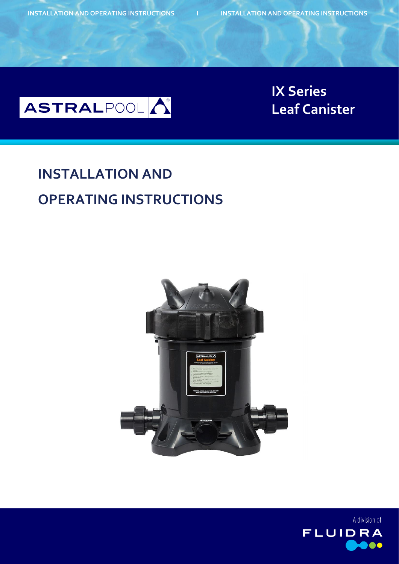

**Bolero Leaf Canister IX Series**

## **INSTALLATION AND OPERATING INSTRUCTIONS**



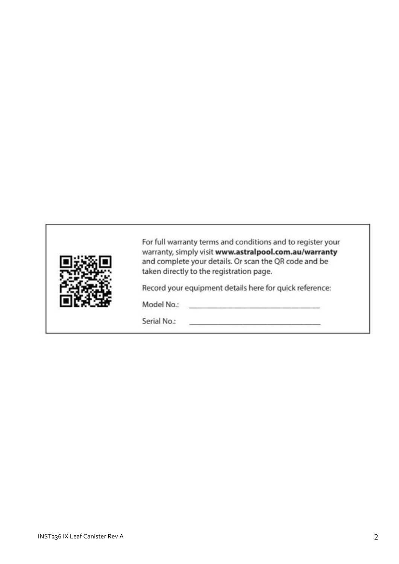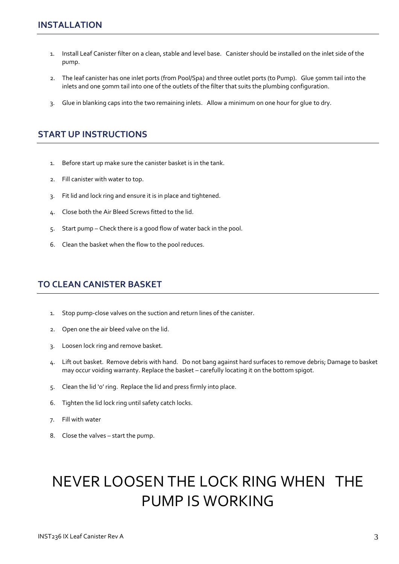- 1. Install Leaf Canister filter on a clean, stable and level base. Canister should be installed on the inlet side of the pump.
- 2. The leaf canister has one inlet ports (from Pool/Spa) and three outlet ports (to Pump). Glue 50mm tail into the inlets and one 50mm tail into one of the outlets of the filter that suits the plumbing configuration.
- 3. Glue in blanking caps into the two remaining inlets. Allow a minimum on one hour for glue to dry.

## **START UP INSTRUCTIONS**

- 1. Before start up make sure the canister basket is in the tank.
- 2. Fill canister with water to top.
- 3. Fit lid and lock ring and ensure it is in place and tightened.
- 4. Close both the Air Bleed Screws fitted to the lid.
- 5. Start pump Check there is a good flow of water back in the pool.
- 6. Clean the basket when the flow to the pool reduces.

## **TO CLEAN CANISTER BASKET**

- 1. Stop pump-close valves on the suction and return lines of the canister.
- 2. Open one the air bleed valve on the lid.
- 3. Loosen lock ring and remove basket.
- 4. Lift out basket. Remove debris with hand. Do not bang against hard surfaces to remove debris; Damage to basket may occur voiding warranty. Replace the basket – carefully locating it on the bottom spigot.
- 5. Clean the lid 'o' ring. Replace the lid and press firmly into place.
- 6. Tighten the lid lock ring until safety catch locks.
- 7. Fill with water
- 8. Close the valves start the pump.

## NEVER LOOSEN THE LOCK RING WHEN THE PUMP IS WORKING